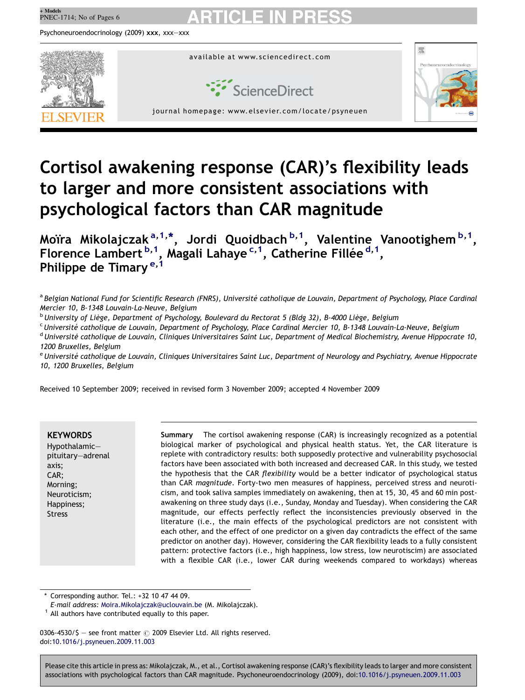Psychoneuroendocrinology (2009) xxx, xxx—xxx



# Cortisol awakening response (CAR)'s flexibility leads to larger and more consistent associations with psychological factors than CAR magnitude

Moïra Mikolajczak $^{\rm a,1,*}$ , Jordi Quoidbach $^{\rm b,1}$ , Valentine Vanootighem $^{\rm b,1}$ , Florence Lambert <sup>b, 1</sup>, Magali Lahaye <sup>c, 1</sup>, Catherine Fillée <sup>d, 1</sup>, Philippe de Timary <sup>e, 1</sup>

<sup>a</sup> Belgian National Fund for Scientific Research (FNRS), Université catholique de Louvain, Department of Psychology, Place Cardinal Mercier 10, B-1348 Louvain-La-Neuve, Belgium

 $b$  University of Liège, Department of Psychology, Boulevard du Rectorat 5 (Bldg 32), B-4000 Liège, Belgium

 $c$ Université catholique de Louvain, Department of Psychology, Place Cardinal Mercier 10, B-1348 Louvain-La-Neuve, Belgium

<sup>d</sup> Université catholique de Louvain, Cliniques Universitaires Saint Luc, Department of Medical Biochemistry, Avenue Hippocrate 10, 1200 Bruxelles, Belgium

e Université catholique de Louvain, Cliniques Universitaires Saint Luc, Department of Neurology and Psychiatry, Avenue Hippocrate 10, 1200 Bruxelles, Belgium

Received 10 September 2009; received in revised form 3 November 2009; accepted 4 November 2009

### **KEYWORDS**

Hypothalamic pituitary—adrenal axis; CAR; Morning; Neuroticism; Happiness; Stress

Summary The cortisol awakening response (CAR) is increasingly recognized as a potential biological marker of psychological and physical health status. Yet, the CAR literature is replete with contradictory results: both supposedly protective and vulnerability psychosocial factors have been associated with both increased and decreased CAR. In this study, we tested the hypothesis that the CAR flexibility would be a better indicator of psychological status than CAR magnitude. Forty-two men measures of happiness, perceived stress and neuroticism, and took saliva samples immediately on awakening, then at 15, 30, 45 and 60 min postawakening on three study days (i.e., Sunday, Monday and Tuesday). When considering the CAR magnitude, our effects perfectly reflect the inconsistencies previously observed in the literature (i.e., the main effects of the psychological predictors are not consistent with each other, and the effect of one predictor on a given day contradicts the effect of the same predictor on another day). However, considering the CAR flexibility leads to a fully consistent pattern: protective factors (i.e., high happiness, low stress, low neurotiscim) are associated with a flexible CAR (i.e., lower CAR during weekends compared to workdays) whereas

Corresponding author. Tel.:  $+32$  10 47 44 09.

E-mail address: [Moira.Mikolajczak@uclouvain.be](mailto:Moira.Mikolajczak@uclouvain.be) (M. Mikolajczak).

<sup>1</sup> All authors have contributed equally to this paper.

0306-4530/\$ - see front matter  $\odot$  2009 Elsevier Ltd. All rights reserved. doi[:10.1016/j.psyneuen.2009.11.003](http://dx.doi.org/10.1016/j.psyneuen.2009.11.003)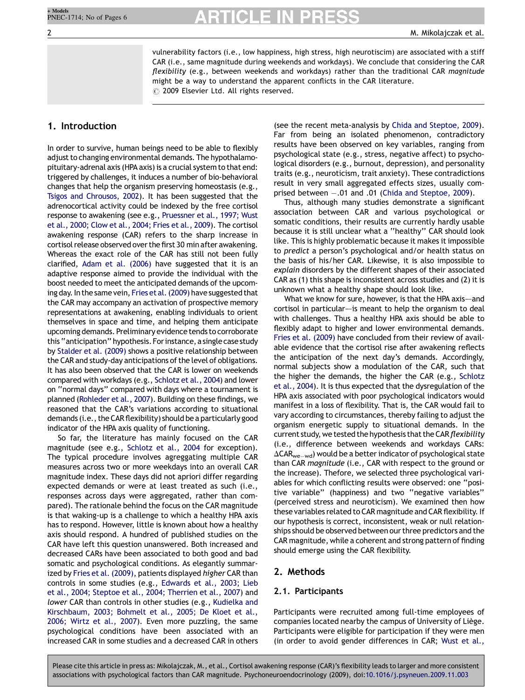vulnerability factors (i.e., low happiness, high stress, high neurotiscim) are associated with a stiff CAR (i.e., same magnitude during weekends and workdays). We conclude that considering the CAR flexibility (e.g., between weekends and workdays) rather than the traditional CAR magnitude might be a way to understand the apparent conflicts in the CAR literature.  $\circled{c}$  2009 Elsevier Ltd. All rights reserved.

### <span id="page-1-0"></span>1. Introduction

In order to survive, human beings need to be able to flexibly adjust to changing environmental demands. The hypothalamopituitary-adrenal axis (HPA axis) is a crucial system to that end: triggered by challenges, it induces a number of bio-behavioral changes that help the organism preserving homeostasis (e.g., [Tsigos and Chrousos, 2002\)](#page-5-0). It has been suggested that the adrenocortical activity could be indexed by the free cortisol response to awakening (see e.g., [Pruessner et al., 1997; Wust](#page-5-0) [et al., 2000; Clow et al., 2004; Fries et al., 2009\)](#page-5-0). The cortisol awakening response (CAR) refers to the sharp increase in cortisol release observed over the first 30 min after awakening. Whereas the exact role of the CAR has still not been fully clarified, [Adam et al. \(2006\)](#page-4-0) have suggested that it is an adaptive response aimed to provide the individual with the boost needed to meet the anticipated demands of the upcoming day. In the same vein, [Fries et al. \(2009\)](#page-5-0) have suggested that the CAR may accompany an activation of prospective memory representations at awakening, enabling individuals to orient themselves in space and time, and helping them anticipate upcoming demands. Preliminary evidence tends to corroborate this ''anticipation'' hypothesis. Forinstance, a singlecase study by [Stalder et al. \(2009\)](#page-5-0) shows a positive relationship between the CAR and study-day anticipations of the level of obligations. It has also been observed that the CAR is lower on weekends compared with workdays (e.g., [Schlotz et al., 2004\)](#page-5-0) and lower on ''normal days'' compared with days where a tournament is planned [\(Rohleder et al., 2007](#page-5-0)). Building on these findings, we reasoned that the CAR's variations according to situational demands (i.e., the CAR flexibility) should be a particularly good indicator of the HPA axis quality of functioning.

So far, the literature has mainly focused on the CAR magnitude (see e.g., [Schlotz et al., 2004](#page-5-0) for exception). The typical procedure involves agreggating multiple CAR measures across two or more weekdays into an overall CAR magnitude index. These days did not apriori differ regarding expected demands or were at least treated as such (i.e., responses across days were aggregated, rather than compared). The rationale behind the focus on the CAR magnitude is that waking-up is a challenge to which a healthy HPA axis has to respond. However, little is known about how a healthy axis should respond. A hundred of published studies on the CAR have left this question unanswered. Both increased and decreased CARs have been associated to both good and bad somatic and psychological conditions. As elegantly summarized by [Fries et al. \(2009\),](#page-5-0) patients displayed higher CAR than controls in some studies (e.g., [Edwards et al., 2003; Lieb](#page-5-0) [et al., 2004; Steptoe et al., 2004; Therrien et al., 2007\)](#page-5-0) and lower CAR than controls in other studies (e.g., [Kudielka and](#page-5-0) [Kirschbaum, 2003; Bohmelt et al., 2005; De Kloet et al.,](#page-5-0) [2006; Wirtz et al., 2007](#page-5-0)). Even more puzzling, the same psychological conditions have been associated with an increased CAR in some studies and a decreased CAR in others

(see the recent meta-analysis by [Chida and Steptoe, 2009](#page-5-0)). Far from being an isolated phenomenon, contradictory results have been observed on key variables, ranging from psychological state (e.g., stress, negative affect) to psychological disorders (e.g., burnout, depression), and personality traits (e.g., neuroticism, trait anxiety). These contradictions result in very small aggregated effects sizes, usually comprised between -.01 and .01 [\(Chida and Steptoe, 2009\)](#page-5-0).

Thus, although many studies demonstrate a significant association between CAR and various psychological or somatic conditions, their results are currently hardly usable because it is still unclear what a ''healthy'' CAR should look like. This is highly problematic because it makes it impossible to predict a person's psychological and/or health status on the basis of his/her CAR. Likewise, it is also impossible to explain disorders by the different shapes of their associated CAR as (1) this shape is inconsistent across studies and (2) it is unknown what a healthy shape should look like.

What we know for sure, however, is that the HPA axis–—and cortisol in particular–—is meant to help the organism to deal with challenges. Thus a healthy HPA axis should be able to flexibly adapt to higher and lower environmental demands. [Fries et al. \(2009\)](#page-5-0) have concluded from their review of available evidence that the cortisol rise after awakening reflects the anticipation of the next day's demands. Accordingly, normal subjects show a modulation of the CAR, such that the higher the demands, the higher the CAR (e.g., [Schlotz](#page-5-0) [et al., 2004](#page-5-0)). It is thus expected that the dysregulation of the HPA axis associated with poor psychological indicators would manifest in a loss of flexibility. That is, the CAR would fail to vary according to circumstances, thereby failing to adjust the organism energetic supply to situational demands. In the current study, we tested the hypothesis that the CAR flexibility (i.e., difference between weekends and workdays CARs:  $\Delta$ CAR $_{\rm we-wd}$ ) would be a better indicator of psychological state than CAR magnitude (i.e., CAR with respect to the ground or the increase). Thefore, we selected three psychological variables for which conflicting results were observed: one ''positive variable'' (happiness) and two ''negative variables'' (perceived stress and neuroticism). We examined then how these variables related to CAR magnitude and CAR flexibility. If our hypothesis is correct, inconsistent, weak or null relationships should be observed between our three predictors and the CAR magnitude, while a coherent and strong pattern of finding should emerge using the CAR flexibility.

### 2. Methods

### 2.1. Participants

Participants were recruited among full-time employees of companies located nearby the campus of University of Liège. Participants were eligible for participation if they were men (in order to avoid gender differences in CAR; [Wust et al.,](#page-5-0)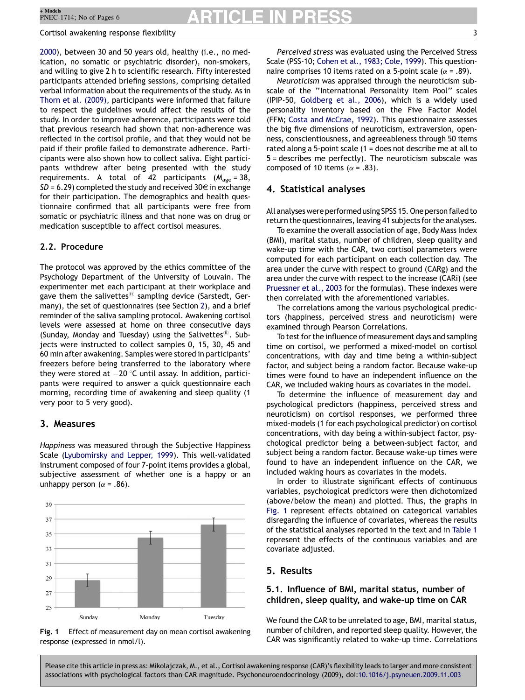### <span id="page-2-0"></span>Cortisol awakening response flexibility 3

[2000](#page-5-0)), between 30 and 50 years old, healthy (i.e., no medication, no somatic or psychiatric disorder), non-smokers, and willing to give 2 h to scientific research. Fifty interested participants attended briefing sessions, comprising detailed verbal information about the requirements of the study. As in [Thorn et al. \(2009\),](#page-5-0) participants were informed that failure to respect the guidelines would affect the results of the study. In order to improve adherence, participants were told that previous research had shown that non-adherence was reflected in the cortisol profile, and that they would not be paid if their profile failed to demonstrate adherence. Participants were also shown how to collect saliva. Eight participants withdrew after being presented with the study requirements. A total of 42 participants  $(M_{\text{age}} = 38,$  $SD = 6.29$ ) completed the study and received 30 $\in$  in exchange for their participation. The demographics and health questionnaire confirmed that all participants were free from somatic or psychiatric illness and that none was on drug or medication susceptible to affect cortisol measures.

### 2.2. Procedure

The protocol was approved by the ethics committee of the Psychology Department of the University of Louvain. The experimenter met each participant at their workplace and gave them the salivettes $^{\circledR}$  sampling device (Sarstedt, Germany), the set of questionnaires (see Section [2](#page-1-0)), and a brief reminder of the saliva sampling protocol. Awakening cortisol levels were assessed at home on three consecutive days (Sunday, Monday and Tuesday) using the Salivettes $^{88}$ . Subjects were instructed to collect samples 0, 15, 30, 45 and 60 min after awakening. Samples were stored in participants' freezers before being transferred to the laboratory where they were stored at  $-20\,^{\circ}\textsf{C}$  until assay. In addition, participants were required to answer a quick questionnaire each morning, recording time of awakening and sleep quality (1 very poor to 5 very good).

### 3. Measures

Happiness was measured through the Subjective Happiness Scale [\(Lyubomirsky and Lepper, 1999\)](#page-5-0). This well-validated instrument composed of four 7-point items provides a global, subjective assessment of whether one is a happy or an unhappy person ( $\alpha$  = .86).



Fig. 1 Effect of measurement day on mean cortisol awakening response (expressed in nmol/l).

Neuroticism was appraised through the neuroticism subscale of the ''International Personality Item Pool'' scales (IPIP-50, [Goldberg et al., 2006\)](#page-5-0), which is a widely used personality inventory based on the Five Factor Model (FFM; [Costa and McCrae, 1992\)](#page-5-0). This questionnaire assesses the big five dimensions of neuroticism, extraversion, openness, conscientiousness, and agreeableness through 50 items rated along a 5-point scale (1 = does not describe me at all to 5 = describes me perfectly). The neuroticism subscale was composed of 10 items ( $\alpha$  = .83).

### 4. Statistical analyses

All analyses were performed using SPSS 15. One person failed to return the questionnaires, leaving 41 subjects for the analyses.

To examine the overall association of age, Body Mass Index (BMI), marital status, number of children, sleep quality and wake-up time with the CAR, two cortisol parameters were computed for each participant on each collection day. The area under the curve with respect to ground (CARg) and the area under the curve with respect to the increase (CARi) (see [Pruessner et al., 2003](#page-5-0) for the formulas). These indexes were then correlated with the aforementioned variables.

The correlations among the various psychological predictors (happiness, perceived stress and neuroticism) were examined through Pearson Correlations.

To test for the influence of measurement days and sampling time on cortisol, we performed a mixed-model on cortisol concentrations, with day and time being a within-subject factor, and subject being a random factor. Because wake-up times were found to have an independent influence on the CAR, we included waking hours as covariates in the model.

To determine the influence of measurement day and psychological predictors (happiness, perceived stress and neuroticism) on cortisol responses, we performed three mixed-models (1 for each psychological predictor) on cortisol concentrations, with day being a within-subject factor, psychological predictor being a between-subject factor, and subject being a random factor. Because wake-up times were found to have an independent influence on the CAR, we included waking hours as covariates in the models.

In order to illustrate significant effects of continuous variables, psychological predictors were then dichotomized (above/below the mean) and plotted. Thus, the graphs in Fig. 1 represent effects obtained on categorical variables disregarding the influence of covariates, whereas the results of the statistical analyses reported in the text and in [Table 1](#page-3-0) represent the effects of the continuous variables and are covariate adjusted.

### 5. Results

### 5.1. Influence of BMI, marital status, number of children, sleep quality, and wake-up time on CAR

We found the CAR to be unrelated to age, BMI, marital status, number of children, and reported sleep quality. However, the CAR was significantly related to wake-up time. Correlations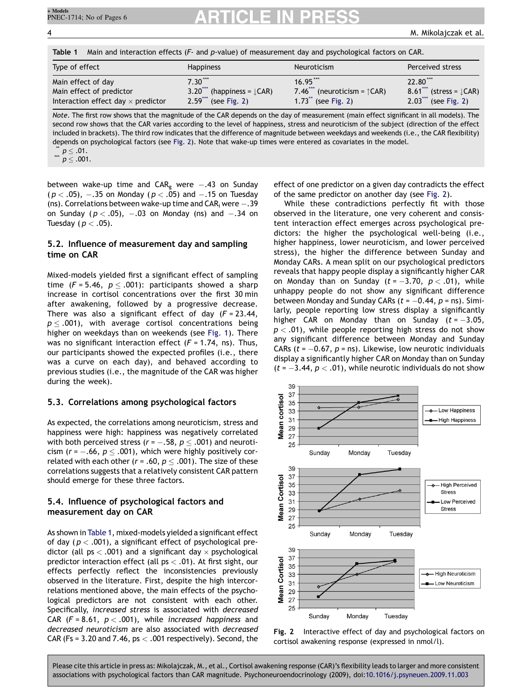<span id="page-3-0"></span>+ Models PNEC-1714; No of Pages 6

| Table 1            |                  | Main and interaction effects $(F-$ and p-value) of measurement day and psychological factors on CAR. |                  |
|--------------------|------------------|------------------------------------------------------------------------------------------------------|------------------|
| Type of effect     | <b>Happiness</b> | <b>Neuroticism</b>                                                                                   | Perceived stress |
| Main effect of day | $7.30***$        | $16.95***$                                                                                           | $22.80***$       |

Main effect of predictor  $3.20^{***}$  (happiness =  $\downarrow$ CAR)  $7.46^{***}$  (neuroticism =  $\uparrow$ CAR)  $8.61^{***}$  (stress =  $\downarrow$ CAR) Interaction effect day  $\times$  predictor  $2.59^{***}$  (see Fig. 2)  $1.73^{**}$  (see Fig. 2)  $2.03^{***}$  (see Interaction effect day  $\times$  predictor 2.59<sup>\*\*\*</sup> (see Fig. 2) 1.73<sup>\*\*</sup> (see Fig. 2) 2.03<sup>\*\*\*</sup> (see Fig. 2) Note. The first row shows that the magnitude of the CAR depends on the day of measurement (main effect significant in all models). The second row shows that the CAR varies according to the level of happiness, stress and neuroticism of the subject (direction of the effect included in brackets). The third row indicates that the difference of magnitude between weekdays and weekends (i.e., the CAR flexibility) depends on psychological factors (see Fig. 2). Note that wake-up times were entered as covariates in the model.<br>  $\stackrel{``}{p} \leq .01.$ <br>  $\stackrel{''}{p} \leq .001.$ 

between wake-up time and  $\mathsf{CAR}_{\mathsf{g}}$  were  $\mathsf{-.43}$  on <code>Sunday</code>  $(p < .05), -.35$  on Monday ( $p < .05$ ) and  $-.15$  on Tuesday (ns). Correlations between wake-up time and  $CAR_i$  were  $-.39$ on Sunday ( $p<.05$ ),  $-.03$  on Monday (ns) and  $-.34$  on Tuesday ( $p < .05$ ).

### 5.2. Influence of measurement day and sampling time on CAR

Mixed-models yielded first a significant effect of sampling time ( $F = 5.46$ ,  $p < .001$ ): participants showed a sharp increase in cortisol concentrations over the first 30 min after awakening, followed by a progressive decrease. There was also a significant effect of day  $(F = 23.44,$  $p < .001$ ), with average cortisol concentrations being higher on weekdays than on weekends (see [Fig. 1](#page-2-0)). There was no significant interaction effect  $(F = 1.74, \text{ ns})$ . Thus, our participants showed the expected profiles (i.e., there was a curve on each day), and behaved according to previous studies (i.e., the magnitude of the CAR was higher during the week).

### 5.3. Correlations among psychological factors

As expected, the correlations among neuroticism, stress and happiness were high: happiness was negatively correlated with both perceived stress ( $r$  =  $-.58,\, p \le .001$ ) and neuroticism (r =  $-.66$ ,  $p \leq .001$ ), which were highly positively correlated with each other ( $r = .60$ ,  $p \le .001$ ). The size of these correlations suggests that a relatively consistent CAR pattern should emerge for these three factors.

### 5.4. Influence of psychological factors and measurement day on CAR

As shown in Table 1, mixed-models yielded a significant effect of day ( $p < .001$ ), a significant effect of psychological predictor (all  $ps < .001$ ) and a significant day  $\times$  psychological predictor interaction effect (all ps < .01). At first sight, our effects perfectly reflect the inconsistencies previously observed in the literature. First, despite the high intercorrelations mentioned above, the main effects of the psychological predictors are not consistent with each other. Specifically, increased stress is associated with decreased CAR ( $F = 8.61$ ,  $p < .001$ ), while increased happiness and decreased neuroticism are also associated with decreased CAR (Fs = 3.20 and 7.46,  $ps < .001$  respectively). Second, the effect of one predictor on a given day contradicts the effect of the same predictor on another day (see Fig. 2).

While these contradictions perfectly fit with those observed in the literature, one very coherent and consistent interaction effect emerges across psychological predictors: the higher the psychological well-being (i.e., higher happiness, lower neuroticism, and lower perceived stress), the higher the difference between Sunday and Monday CARs. A mean split on our psychological predictors reveals that happy people display a significantly higher CAR on Monday than on Sunday ( $t = -3.70$ ,  $p < .01$ ), while unhappy people do not show any significant difference between Monday and Sunday CARs ( $t = -0.44$ ,  $p =$ ns). Similarly, people reporting low stress display a significantly higher CAR on Monday than on Sunday  $(t = -3.05,$  $p < .01$ ), while people reporting high stress do not show any significant difference between Monday and Sunday CARs ( $t = -0.67$ ,  $p =$  ns). Likewise, low neurotic individuals display a significantly higher CAR on Monday than on Sunday  $(t = -3.44, p < .01)$ , while neurotic individuals do not show



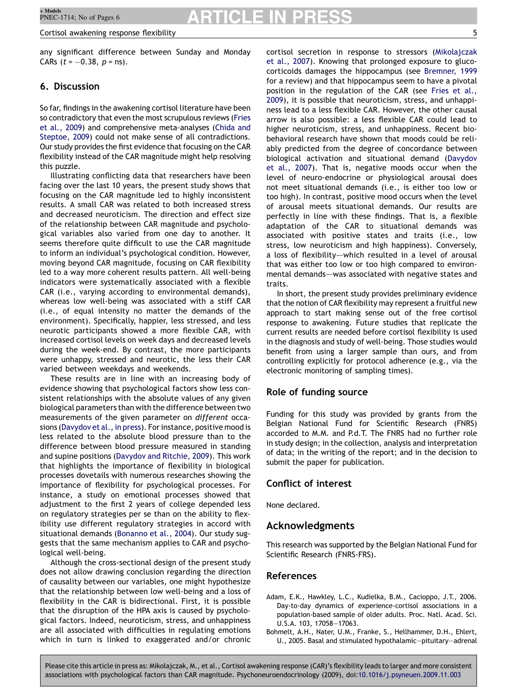# RTICLE IN PR

<span id="page-4-0"></span>any significant difference between Sunday and Monday CARs  $(t = -0.38, p = ns)$ .

# 6. Discussion

So far, findings in the awakening cortisol literature have been so contradictory that even the most scrupulous reviews [\(Fries](#page-5-0) [et al., 2009](#page-5-0)) and comprehensive meta-analyses [\(Chida and](#page-5-0) [Steptoe, 2009\)](#page-5-0) could not make sense of all contradictions. Our study provides the first evidence that focusing on the CAR flexibility instead of the CAR magnitude might help resolving this puzzle.

Illustrating conflicting data that researchers have been facing over the last 10 years, the present study shows that focusing on the CAR magnitude led to highly inconsistent results. A small CAR was related to both increased stress and decreased neuroticism. The direction and effect size of the relationship between CAR magnitude and psychological variables also varied from one day to another. It seems therefore quite difficult to use the CAR magnitude to inform an individual's psychological condition. However, moving beyond CAR magnitude, focusing on CAR flexibility led to a way more coherent results pattern. All well-being indicators were systematically associated with a flexible CAR (i.e., varying according to environmental demands), whereas low well-being was associated with a stiff CAR (i.e., of equal intensity no matter the demands of the environment). Specifically, happier, less stressed, and less neurotic participants showed a more flexible CAR, with increased cortisol levels on week days and decreased levels during the week-end. By contrast, the more participants were unhappy, stressed and neurotic, the less their CAR varied between weekdays and weekends.

These results are in line with an increasing body of evidence showing that psychological factors show less consistent relationships with the absolute values of any given biological parameters than with the difference between two measurements of the given parameter on different occasions ([Davydov et al., in press](#page-5-0)). For instance, positive mood is less related to the absolute blood pressure than to the difference between blood pressure measured in standing and supine positions ([Davydov and Ritchie, 2009](#page-5-0)). This work that highlights the importance of flexibility in biological processes dovetails with numerous researches showing the importance of flexibility for psychological processes. For instance, a study on emotional processes showed that adjustment to the first 2 years of college depended less on regulatory strategies per se than on the ability to flexibility use different regulatory strategies in accord with situational demands ([Bonanno et al., 2004](#page-5-0)). Our study suggests that the same mechanism applies to CAR and psychological well-being.

Although the cross-sectional design of the present study does not allow drawing conclusion regarding the direction of causality between our variables, one might hypothesize that the relationship between low well-being and a loss of flexibility in the CAR is bidirectional. First, it is possible that the disruption of the HPA axis is caused by psychological factors. Indeed, neuroticism, stress, and unhappiness are all associated with difficulties in regulating emotions which in turn is linked to exaggerated and/or chronic

cortisol secretion in response to stressors ([Mikolajczak](#page-5-0) [et al., 2007\)](#page-5-0). Knowing that prolonged exposure to glucocorticoids damages the hippocampus (see [Bremner, 1999](#page-5-0) for a review) and that hippocampus seem to have a pivotal position in the regulation of the CAR (see [Fries et al.,](#page-5-0) [2009](#page-5-0)), it is possible that neuroticism, stress, and unhappiness lead to a less flexible CAR. However, the other causal arrow is also possible: a less flexible CAR could lead to higher neuroticism, stress, and unhappiness. Recent biobehavioral research have shown that moods could be reliably predicted from the degree of concordance between biological activation and situational demand ([Davydov](#page-5-0) [et al., 2007](#page-5-0)). That is, negative moods occur when the level of neuro-endocrine or physiological arousal does not meet situational demands (i.e., is either too low or too high). In contrast, positive mood occurs when the level of arousal meets situational demands. Our results are perfectly in line with these findings. That is, a flexible adaptation of the CAR to situational demands was associated with positive states and traits (i.e., low stress, low neuroticism and high happiness). Conversely, a loss of flexibility-which resulted in a level of arousal that was either too low or too high compared to environmental demands–—was associated with negative states and traits.

In short, the present study provides preliminary evidence that the notion of CAR flexibility may represent a fruitful new approach to start making sense out of the free cortisol response to awakening. Future studies that replicate the current results are needed before cortisol flexibility is used in the diagnosis and study of well-being. Those studies would benefit from using a larger sample than ours, and from controlling explicitly for protocol adherence (e.g., via the electronic monitoring of sampling times).

## Role of funding source

Funding for this study was provided by grants from the Belgian National Fund for Scientific Research (FNRS) accorded to M.M. and P.d.T. The FNRS had no further role in study design; in the collection, analysis and interpretation of data; in the writing of the report; and in the decision to submit the paper for publication.

# Conflict of interest

None declared.

# Acknowledgments

This research was supported by the Belgian National Fund for Scientific Research (FNRS-FRS).

## References

- Adam, E.K., Hawkley, L.C., Kudielka, B.M., Cacioppo, J.T., 2006. Day-to-day dynamics of experience-cortisol associations in a population-based sample of older adults. Proc. Natl. Acad. Sci. U.S.A. 103, 17058—17063.
- Bohmelt, A.H., Nater, U.M., Franke, S., Hellhammer, D.H., Ehlert, U., 2005. Basal and stimulated hypothalamic—pituitary—adrenal